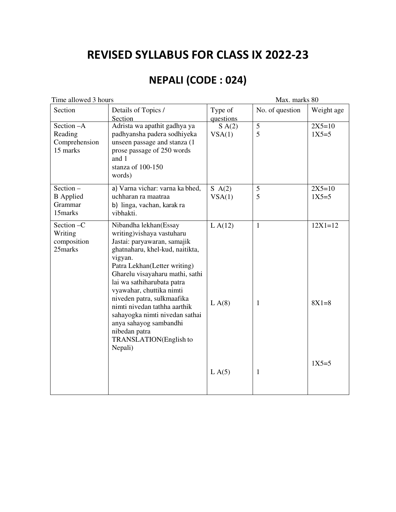# **REVISED SYLLABUS FOR CLASS IX 2022-23**

# **NEPALI (CODE : 024)**

| Time allowed 3 hours                               |                                                                                                                                                                                                                                                                                                                                                                                                                                               | Max. marks 80        |                              |                          |
|----------------------------------------------------|-----------------------------------------------------------------------------------------------------------------------------------------------------------------------------------------------------------------------------------------------------------------------------------------------------------------------------------------------------------------------------------------------------------------------------------------------|----------------------|------------------------------|--------------------------|
| Section                                            | Details of Topics /<br>Section                                                                                                                                                                                                                                                                                                                                                                                                                | Type of<br>questions | No. of question              | Weight age               |
| Section -A<br>Reading<br>Comprehension<br>15 marks | Adrista wa apathit gadhya ya<br>padhyansha padera sodhiyeka<br>unseen passage and stanza (1<br>prose passage of 250 words<br>and 1<br>stanza of 100-150<br>words)                                                                                                                                                                                                                                                                             | S A(2)<br>VSA(1)     | 5<br>5                       | $2X5=10$<br>$1X5 = 5$    |
| Section-<br><b>B</b> Applied<br>Grammar<br>15marks | a) Varna vichar: varna ka bhed,<br>uchharan ra maatraa<br>b) linga, vachan, karak ra<br>vibhakti.                                                                                                                                                                                                                                                                                                                                             | S A(2)<br>VSA(1)     | 5<br>5                       | $2X5=10$<br>$1X5 = 5$    |
| Section -C<br>Writing<br>composition<br>25marks    | Nibandha lekhan(Essay<br>writing) vishaya vastuharu<br>Jastai: paryawaran, samajik<br>ghatnaharu, khel-kud, naitikta,<br>vigyan.<br>Patra Lekhan(Letter writing)<br>Gharelu visayaharu mathi, sathi<br>lai wa sathiharubata patra<br>vyawahar, chuttika nimti<br>niveden patra, sulkmaafika<br>nimti nivedan tathha aarthik<br>sahayogka nimti nivedan sathai<br>anya sahayog sambandhi<br>nibedan patra<br>TRANSLATION(English to<br>Nepali) | LA(12)<br>LA(8)      | $\mathbf{1}$<br>$\mathbf{1}$ | $12X1 = 12$<br>$8X1 = 8$ |
|                                                    |                                                                                                                                                                                                                                                                                                                                                                                                                                               | LA(5)                | $\mathbf{1}$                 | $1X5 = 5$                |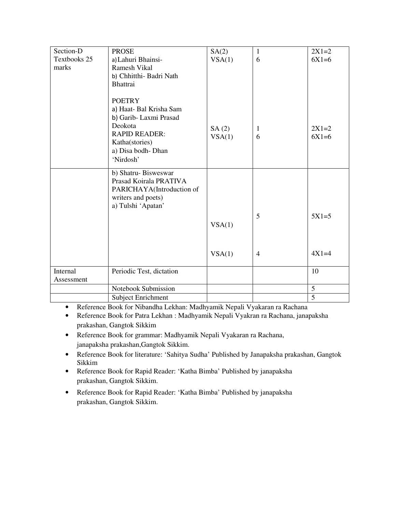| Section-D    | <b>PROSE</b>              | SA(2)  | $\mathbf{1}$   | $2X1=2$        |
|--------------|---------------------------|--------|----------------|----------------|
| Textbooks 25 | a) Lahuri Bhainsi-        | VSA(1) | 6              | $6X1=6$        |
| marks        | Ramesh Vikal              |        |                |                |
|              | b) Chhitthi- Badri Nath   |        |                |                |
|              | Bhattrai                  |        |                |                |
|              |                           |        |                |                |
|              | <b>POETRY</b>             |        |                |                |
|              | a) Haat- Bal Krisha Sam   |        |                |                |
|              | b) Garib-Laxmi Prasad     |        |                |                |
|              | Deokota                   | SA(2)  | $\mathbf{1}$   | $2X1=2$        |
|              | <b>RAPID READER:</b>      | VSA(1) | 6              | $6X1=6$        |
|              | Katha(stories)            |        |                |                |
|              | a) Disa bodh-Dhan         |        |                |                |
|              | 'Nirdosh'                 |        |                |                |
|              |                           |        |                |                |
|              | b) Shatru-Bisweswar       |        |                |                |
|              | Prasad Koirala PRATIVA    |        |                |                |
|              | PARICHAYA(Introduction of |        |                |                |
|              | writers and poets)        |        |                |                |
|              | a) Tulshi 'Apatan'        |        |                |                |
|              |                           |        | 5              | $5X1=5$        |
|              |                           | VSA(1) |                |                |
|              |                           |        |                |                |
|              |                           |        |                |                |
|              |                           | VSA(1) | $\overline{4}$ | $4X1=4$        |
|              |                           |        |                |                |
| Internal     | Periodic Test, dictation  |        |                | 10             |
| Assessment   |                           |        |                |                |
|              | Notebook Submission       |        |                | 5              |
|              | <b>Subject Enrichment</b> |        |                | $\overline{5}$ |

- Reference Book for Nibandha Lekhan: Madhyamik Nepali Vyakaran ra Rachana
- Reference Book for Patra Lekhan : Madhyamik Nepali Vyakran ra Rachana, janapaksha prakashan, Gangtok Sikkim
- Reference Book for grammar: Madhyamik Nepali Vyakaran ra Rachana, janapaksha prakashan,Gangtok Sikkim.
- Reference Book for literature: 'Sahitya Sudha' Published by Janapaksha prakashan, Gangtok Sikkim
- Reference Book for Rapid Reader: 'Katha Bimba' Published by janapaksha prakashan, Gangtok Sikkim.
- Reference Book for Rapid Reader: 'Katha Bimba' Published by janapaksha prakashan, Gangtok Sikkim.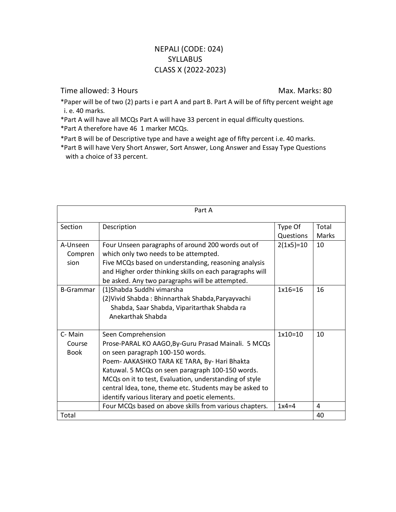### NEPALI (CODE: 024) **SYLLABUS** CLASS X (2022-2023)

#### Time allowed: 3 Hours Max. Marks: 80

\*Paper will be of two (2) parts i e part A and part B. Part A will be of fifty percent weight age i. e. 40 marks.

\*Part A will have all MCQs Part A will have 33 percent in equal difficulty questions.

\*Part A therefore have 46 1 marker MCQs.

\*Part B will be of Descriptive type and have a weight age of fifty percent i.e. 40 marks.

\*Part B will have Very Short Answer, Sort Answer, Long Answer and Essay Type Questions with a choice of 33 percent.

| Part A                          |                                                                                                                                                                                                                                                                                                                                                                                          |                      |                       |
|---------------------------------|------------------------------------------------------------------------------------------------------------------------------------------------------------------------------------------------------------------------------------------------------------------------------------------------------------------------------------------------------------------------------------------|----------------------|-----------------------|
| Section                         | Description                                                                                                                                                                                                                                                                                                                                                                              | Type Of<br>Questions | Total<br><b>Marks</b> |
| A-Unseen<br>Compren<br>sion     | Four Unseen paragraphs of around 200 words out of<br>which only two needs to be attempted.<br>Five MCQs based on understanding, reasoning analysis<br>and Higher order thinking skills on each paragraphs will<br>be asked. Any two paragraphs will be attempted.                                                                                                                        | $2(1x5)=10$          | 10                    |
| <b>B-Grammar</b>                | (1)Shabda Suddhi vimarsha<br>(2) Vivid Shabda: Bhinnarthak Shabda, Paryayvachi<br>Shabda, Saar Shabda, Viparitarthak Shabda ra<br>Anekarthak Shabda                                                                                                                                                                                                                                      | $1x16=16$            | 16                    |
| C-Main<br>Course<br><b>Book</b> | Seen Comprehension<br>Prose-PARAL KO AAGO, By-Guru Prasad Mainali. 5 MCQs<br>on seen paragraph 100-150 words.<br>Poem- AAKASHKO TARA KE TARA, By- Hari Bhakta<br>Katuwal. 5 MCQs on seen paragraph 100-150 words.<br>MCQs on it to test, Evaluation, understanding of style<br>central Idea, tone, theme etc. Students may be asked to<br>identify various literary and poetic elements. | $1x10=10$            | 10                    |
|                                 | Four MCQs based on above skills from various chapters.                                                                                                                                                                                                                                                                                                                                   | $1x4=4$              | 4                     |
| Total                           |                                                                                                                                                                                                                                                                                                                                                                                          |                      | 40                    |